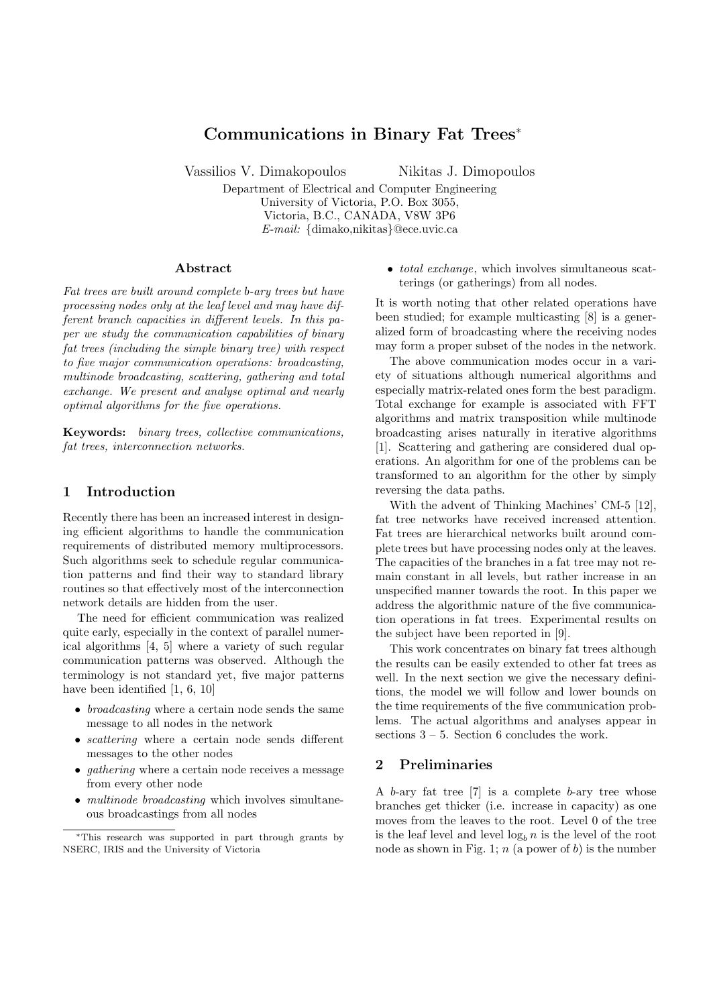# Communications in Binary Fat Trees<sup>∗</sup>

Vassilios V. Dimakopoulos Nikitas J. Dimopoulos

Department of Electrical and Computer Engineering University of Victoria, P.O. Box 3055, Victoria, B.C., CANADA, V8W 3P6 E-mail: {dimako,nikitas}@ece.uvic.ca

#### Abstract

Fat trees are built around complete b-ary trees but have processing nodes only at the leaf level and may have different branch capacities in different levels. In this paper we study the communication capabilities of binary fat trees (including the simple binary tree) with respect to five major communication operations: broadcasting, multinode broadcasting, scattering, gathering and total exchange. We present and analyse optimal and nearly optimal algorithms for the five operations.

Keywords: binary trees, collective communications, fat trees, interconnection networks.

### 1 Introduction

Recently there has been an increased interest in designing efficient algorithms to handle the communication requirements of distributed memory multiprocessors. Such algorithms seek to schedule regular communication patterns and find their way to standard library routines so that effectively most of the interconnection network details are hidden from the user.

The need for efficient communication was realized quite early, especially in the context of parallel numerical algorithms [4, 5] where a variety of such regular communication patterns was observed. Although the terminology is not standard yet, five major patterns have been identified [1, 6, 10]

- broadcasting where a certain node sends the same message to all nodes in the network
- *scattering* where a certain node sends different messages to the other nodes
- gathering where a certain node receives a message from every other node
- *multinode broadcasting* which involves simultaneous broadcastings from all nodes

• *total exchange*, which involves simultaneous scatterings (or gatherings) from all nodes.

It is worth noting that other related operations have been studied; for example multicasting [8] is a generalized form of broadcasting where the receiving nodes may form a proper subset of the nodes in the network.

The above communication modes occur in a variety of situations although numerical algorithms and especially matrix-related ones form the best paradigm. Total exchange for example is associated with FFT algorithms and matrix transposition while multinode broadcasting arises naturally in iterative algorithms [1]. Scattering and gathering are considered dual operations. An algorithm for one of the problems can be transformed to an algorithm for the other by simply reversing the data paths.

With the advent of Thinking Machines' CM-5 [12], fat tree networks have received increased attention. Fat trees are hierarchical networks built around complete trees but have processing nodes only at the leaves. The capacities of the branches in a fat tree may not remain constant in all levels, but rather increase in an unspecified manner towards the root. In this paper we address the algorithmic nature of the five communication operations in fat trees. Experimental results on the subject have been reported in [9].

This work concentrates on binary fat trees although the results can be easily extended to other fat trees as well. In the next section we give the necessary definitions, the model we will follow and lower bounds on the time requirements of the five communication problems. The actual algorithms and analyses appear in sections  $3 - 5$ . Section 6 concludes the work.

## 2 Preliminaries

A  $b$ -ary fat tree  $[7]$  is a complete  $b$ -ary tree whose branches get thicker (i.e. increase in capacity) as one moves from the leaves to the root. Level 0 of the tree is the leaf level and level  $\log_b n$  is the level of the root node as shown in Fig. 1;  $n$  (a power of b) is the number

<sup>∗</sup>This research was supported in part through grants by NSERC, IRIS and the University of Victoria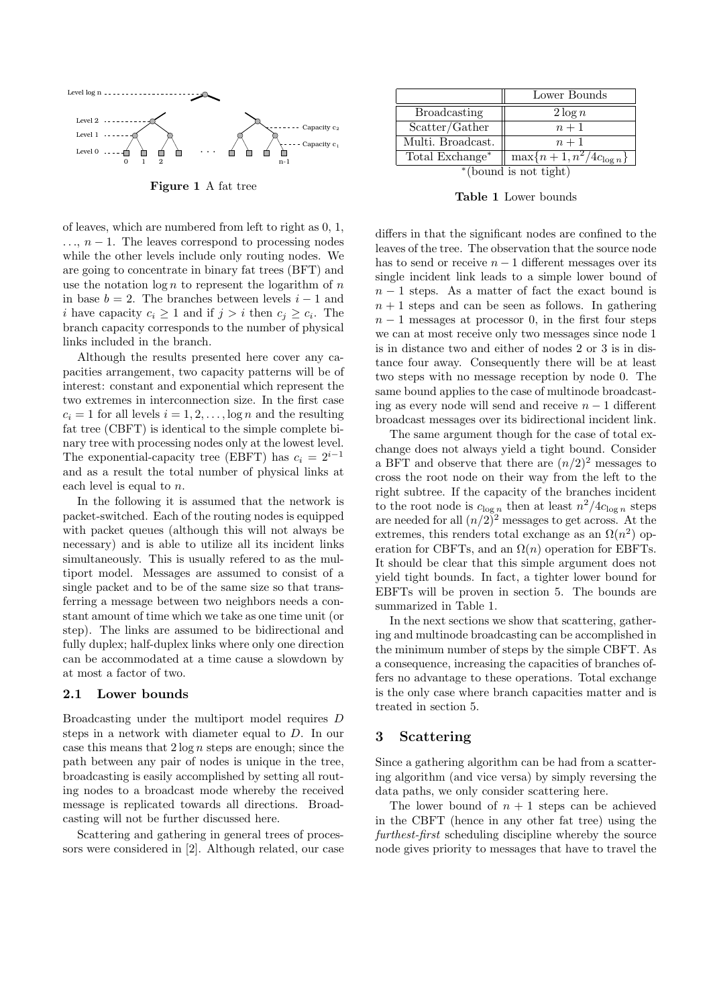

Figure 1 A fat tree

of leaves, which are numbered from left to right as 0, 1,  $\ldots$ ,  $n-1$ . The leaves correspond to processing nodes while the other levels include only routing nodes. We are going to concentrate in binary fat trees (BFT) and use the notation  $\log n$  to represent the logarithm of n in base  $b = 2$ . The branches between levels  $i - 1$  and i have capacity  $c_i \geq 1$  and if  $j > i$  then  $c_j \geq c_i$ . The branch capacity corresponds to the number of physical links included in the branch.

Although the results presented here cover any capacities arrangement, two capacity patterns will be of interest: constant and exponential which represent the two extremes in interconnection size. In the first case  $c_i = 1$  for all levels  $i = 1, 2, \ldots, \log n$  and the resulting fat tree (CBFT) is identical to the simple complete binary tree with processing nodes only at the lowest level. The exponential-capacity tree (EBFT) has  $c_i = 2^{i-1}$ and as a result the total number of physical links at each level is equal to  $n$ .

In the following it is assumed that the network is packet-switched. Each of the routing nodes is equipped with packet queues (although this will not always be necessary) and is able to utilize all its incident links simultaneously. This is usually refered to as the multiport model. Messages are assumed to consist of a single packet and to be of the same size so that transferring a message between two neighbors needs a constant amount of time which we take as one time unit (or step). The links are assumed to be bidirectional and fully duplex; half-duplex links where only one direction can be accommodated at a time cause a slowdown by at most a factor of two.

#### 2.1 Lower bounds

Broadcasting under the multiport model requires D steps in a network with diameter equal to D. In our case this means that  $2 \log n$  steps are enough; since the path between any pair of nodes is unique in the tree, broadcasting is easily accomplished by setting all routing nodes to a broadcast mode whereby the received message is replicated towards all directions. Broadcasting will not be further discussed here.

Scattering and gathering in general trees of processors were considered in [2]. Although related, our case

|                       | Lower Bounds                             |
|-----------------------|------------------------------------------|
| <b>Broadcasting</b>   | $2 \log n$                               |
| Scatter/Gather        | $n+1$                                    |
| Multi. Broadcast.     | $n+1$                                    |
| Total Exchange*       | $\overline{\max\{n+1,n^2/4c_{\log n}\}}$ |
| *(bound is not tight) |                                          |

Table 1 Lower bounds

differs in that the significant nodes are confined to the leaves of the tree. The observation that the source node has to send or receive  $n-1$  different messages over its single incident link leads to a simple lower bound of  $n-1$  steps. As a matter of fact the exact bound is  $n + 1$  steps and can be seen as follows. In gathering  $n-1$  messages at processor 0, in the first four steps we can at most receive only two messages since node 1 is in distance two and either of nodes 2 or 3 is in distance four away. Consequently there will be at least two steps with no message reception by node 0. The same bound applies to the case of multinode broadcasting as every node will send and receive  $n - 1$  different broadcast messages over its bidirectional incident link.

The same argument though for the case of total exchange does not always yield a tight bound. Consider a BFT and observe that there are  $(n/2)^2$  messages to cross the root node on their way from the left to the right subtree. If the capacity of the branches incident to the root node is  $c_{\log n}$  then at least  $n^2/4c_{\log n}$  steps are needed for all  $(n/2)^2$  messages to get across. At the extremes, this renders total exchange as an  $\Omega(n^2)$  operation for CBFTs, and an  $\Omega(n)$  operation for EBFTs. It should be clear that this simple argument does not yield tight bounds. In fact, a tighter lower bound for EBFTs will be proven in section 5. The bounds are summarized in Table 1.

In the next sections we show that scattering, gathering and multinode broadcasting can be accomplished in the minimum number of steps by the simple CBFT. As a consequence, increasing the capacities of branches offers no advantage to these operations. Total exchange is the only case where branch capacities matter and is treated in section 5.

### 3 Scattering

Since a gathering algorithm can be had from a scattering algorithm (and vice versa) by simply reversing the data paths, we only consider scattering here.

The lower bound of  $n + 1$  steps can be achieved in the CBFT (hence in any other fat tree) using the furthest-first scheduling discipline whereby the source node gives priority to messages that have to travel the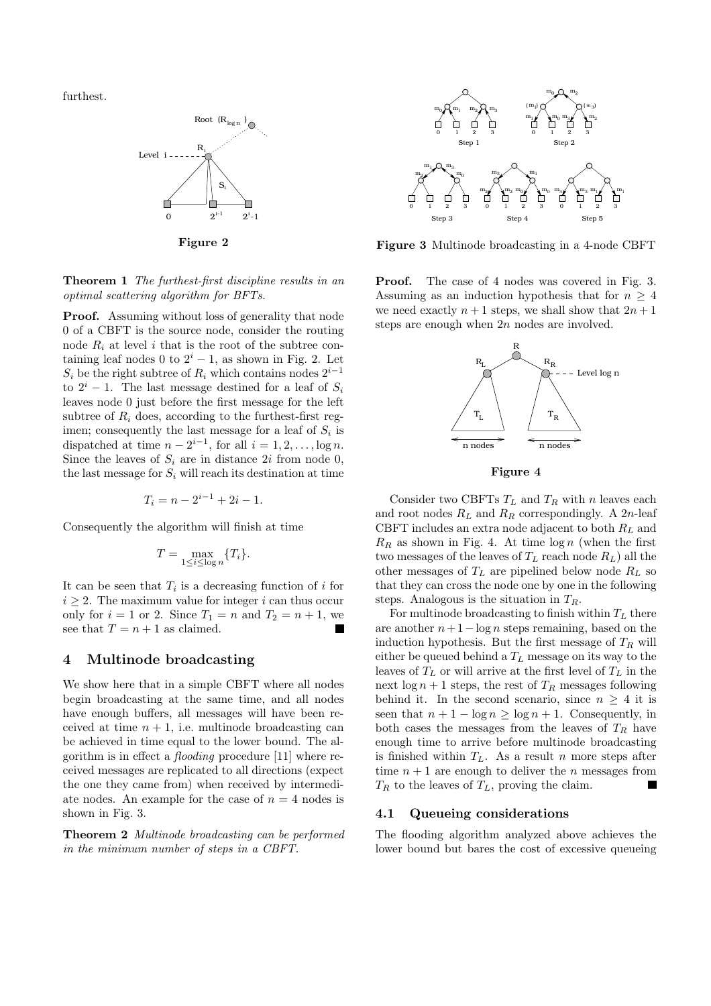furthest.



Figure 2

Theorem 1 The furthest-first discipline results in an optimal scattering algorithm for BFTs.

**Proof.** Assuming without loss of generality that node 0 of a CBFT is the source node, consider the routing node  $R_i$  at level i that is the root of the subtree containing leaf nodes 0 to  $2^{i} - 1$ , as shown in Fig. 2. Let  $S_i$  be the right subtree of  $R_i$  which contains nodes  $2^{i-1}$ to  $2^{i} - 1$ . The last message destined for a leaf of  $S_i$ leaves node 0 just before the first message for the left subtree of  $R_i$  does, according to the furthest-first regimen; consequently the last message for a leaf of  $S_i$  is dispatched at time  $n - 2^{i-1}$ , for all  $i = 1, 2, \ldots, \log n$ . Since the leaves of  $S_i$  are in distance 2i from node 0, the last message for  $S_i$  will reach its destination at time

$$
T_i = n - 2^{i-1} + 2i - 1.
$$

Consequently the algorithm will finish at time

$$
T = \max_{1 \leq i \leq \log n} \{T_i\}.
$$

It can be seen that  $T_i$  is a decreasing function of i for  $i \geq 2$ . The maximum value for integer i can thus occur only for  $i = 1$  or 2. Since  $T_1 = n$  and  $T_2 = n + 1$ , we see that  $T = n + 1$  as claimed.

#### 4 Multinode broadcasting

We show here that in a simple CBFT where all nodes begin broadcasting at the same time, and all nodes have enough buffers, all messages will have been received at time  $n + 1$ , i.e. multinode broadcasting can be achieved in time equal to the lower bound. The algorithm is in effect a flooding procedure [11] where received messages are replicated to all directions (expect the one they came from) when received by intermediate nodes. An example for the case of  $n = 4$  nodes is shown in Fig. 3.

Theorem 2 Multinode broadcasting can be performed in the minimum number of steps in a CBFT.



Figure 3 Multinode broadcasting in a 4-node CBFT

Proof. The case of 4 nodes was covered in Fig. 3. Assuming as an induction hypothesis that for  $n \geq 4$ we need exactly  $n+1$  steps, we shall show that  $2n+1$ steps are enough when 2n nodes are involved.



Figure 4

Consider two CBFTs  $T_L$  and  $T_R$  with n leaves each and root nodes  $R_L$  and  $R_R$  correspondingly. A 2n-leaf CBFT includes an extra node adjacent to both  $R_L$  and  $R_R$  as shown in Fig. 4. At time  $\log n$  (when the first two messages of the leaves of  $T_L$  reach node  $R_L$ ) all the other messages of  $T_L$  are pipelined below node  $R_L$  so that they can cross the node one by one in the following steps. Analogous is the situation in  $T_R$ .

For multinode broadcasting to finish within  $T<sub>L</sub>$  there are another  $n+1-\log n$  steps remaining, based on the induction hypothesis. But the first message of  $T_R$  will either be queued behind a  $T_L$  message on its way to the leaves of  $T_L$  or will arrive at the first level of  $T_L$  in the next  $\log n + 1$  steps, the rest of  $T_R$  messages following behind it. In the second scenario, since  $n \geq 4$  it is seen that  $n + 1 - \log n \ge \log n + 1$ . Consequently, in both cases the messages from the leaves of  $T_R$  have enough time to arrive before multinode broadcasting is finished within  $T_L$ . As a result n more steps after time  $n + 1$  are enough to deliver the n messages from  $T_R$  to the leaves of  $T_L$ , proving the claim.

#### 4.1 Queueing considerations

The flooding algorithm analyzed above achieves the lower bound but bares the cost of excessive queueing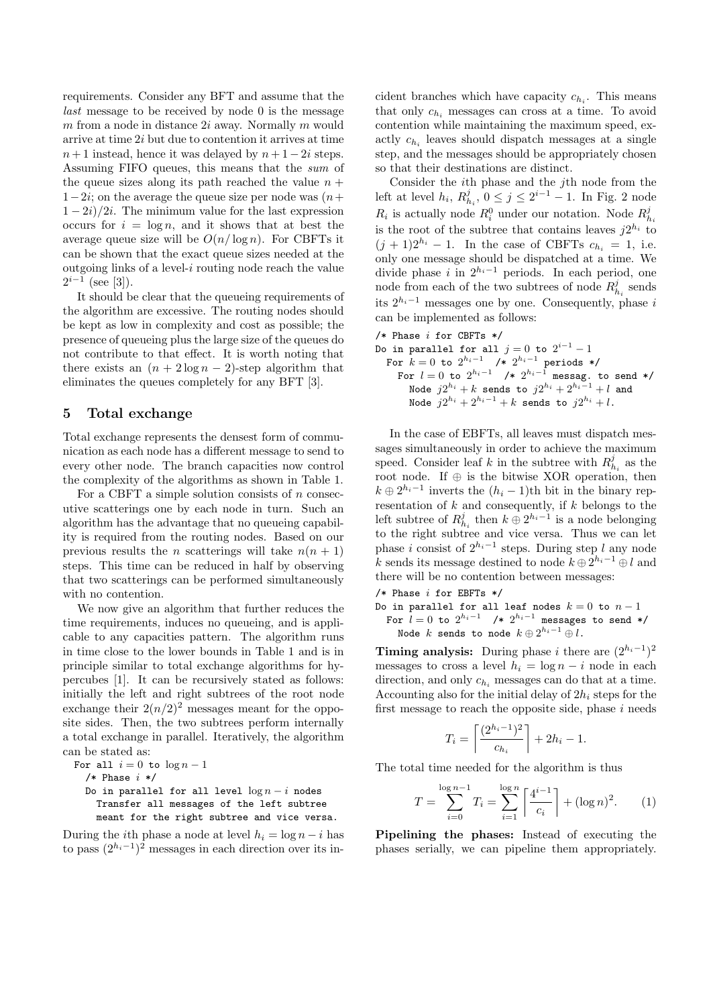requirements. Consider any BFT and assume that the last message to be received by node 0 is the message  $m$  from a node in distance  $2i$  away. Normally  $m$  would arrive at time 2i but due to contention it arrives at time  $n+1$  instead, hence it was delayed by  $n+1-2i$  steps. Assuming FIFO queues, this means that the sum of the queue sizes along its path reached the value  $n +$  $1-2i$ ; on the average the queue size per node was  $(n+1)$  $1 - 2i/2i$ . The minimum value for the last expression occurs for  $i = \log n$ , and it shows that at best the average queue size will be  $O(n/\log n)$ . For CBFTs it can be shown that the exact queue sizes needed at the outgoing links of a level- $i$  routing node reach the value  $2^{i-1}$  (see [3]).

It should be clear that the queueing requirements of the algorithm are excessive. The routing nodes should be kept as low in complexity and cost as possible; the presence of queueing plus the large size of the queues do not contribute to that effect. It is worth noting that there exists an  $(n + 2 \log n - 2)$ -step algorithm that eliminates the queues completely for any BFT [3].

#### 5 Total exchange

Total exchange represents the densest form of communication as each node has a different message to send to every other node. The branch capacities now control the complexity of the algorithms as shown in Table 1.

For a CBFT a simple solution consists of  $n$  consecutive scatterings one by each node in turn. Such an algorithm has the advantage that no queueing capability is required from the routing nodes. Based on our previous results the *n* scatterings will take  $n(n + 1)$ steps. This time can be reduced in half by observing that two scatterings can be performed simultaneously with no contention.

We now give an algorithm that further reduces the time requirements, induces no queueing, and is applicable to any capacities pattern. The algorithm runs in time close to the lower bounds in Table 1 and is in principle similar to total exchange algorithms for hypercubes [1]. It can be recursively stated as follows: initially the left and right subtrees of the root node exchange their  $2(n/2)^2$  messages meant for the opposite sides. Then, the two subtrees perform internally a total exchange in parallel. Iteratively, the algorithm can be stated as:

For all 
$$
i = 0
$$
 to  $\log n - 1$ \n/\* Phase  $i * /$ 

\nDo in parallel for all level  $\log n - i$  nodes

\nTransfer all messages of the left subtree

meant for the right subtree and vice versa.

 $-i$  nodes

During the *i*th phase a node at level  $h_i = \log n - i$  has to pass  $(2^{h_i-1})^2$  messages in each direction over its in-

cident branches which have capacity  $c_{h_i}$ . This means that only  $c_{h_i}$  messages can cross at a time. To avoid contention while maintaining the maximum speed, exactly  $c_{h_i}$  leaves should dispatch messages at a single step, and the messages should be appropriately chosen so that their destinations are distinct.

Consider the ith phase and the jth node from the left at level  $h_i$ ,  $R_{h_i}^j$ ,  $0 \le j \le 2^{i-1} - 1$ . In Fig. 2 node  $R_i$  is actually node  $R_i^0$  under our notation. Node  $R_{h_i}^j$ is the root of the subtree that contains leaves  $j2^{h_i}$  to  $(j + 1)2^{h_i} - 1$ . In the case of CBFTs  $c_{h_i} = 1$ , i.e. only one message should be dispatched at a time. We divide phase i in  $2^{h_i-1}$  periods. In each period, one node from each of the two subtrees of node  $R_{h_i}^j$  sends its  $2^{h_i-1}$  messages one by one. Consequently, phase i can be implemented as follows:

- $/*$  Phase *i* for CBFTs  $*/$
- Do in parallel for all  $j=0$  to  $2^{i-1}-1$ For  $k=0$  to  $2^{h_i-1}$  /\*  $2^{h_i-1}$  periods \*/ For  $l=0$  to  $2^{h_i-1}$  /\*  $2^{h_i-1}$  messag. to send \*/ Node  $j2^{h_i}+k$  sends to  $j2^{h_i}+2^{h_i-1}+l$  and Node  $j2^{h_i} + 2^{h_i-1} + k$  sends to  $j2^{h_i} + l$ .

In the case of EBFTs, all leaves must dispatch messages simultaneously in order to achieve the maximum speed. Consider leaf k in the subtree with  $R_{h_i}^j$  as the root node. If  $\oplus$  is the bitwise XOR operation, then  $k \oplus 2^{h_i-1}$  inverts the  $(h_i-1)$ th bit in the binary representation of  $k$  and consequently, if  $k$  belongs to the left subtree of  $R_{h_i}^j$  then  $k \oplus 2^{h_i-1}$  is a node belonging to the right subtree and vice versa. Thus we can let phase i consist of  $2^{h_i-1}$  steps. During step l any node k sends its message destined to node  $k \oplus 2^{h_i-1} \oplus l$  and there will be no contention between messages:

 $/*$  Phase  $i$  for EBFTs  $*/$ 

Do in parallel for all leaf nodes  $k = 0$  to  $n - 1$ For  $l=0$  to  $2^{h_i-1}$  /\*  $2^{h_i-1}$  messages to send \*/ Node  $k$  sends to node  $k \oplus 2^{h_i-1} \oplus l$ .

**Timing analysis:** During phase i there are  $(2^{h_i-1})^2$ messages to cross a level  $h_i = \log n - i$  node in each direction, and only  $c_{h_i}$  messages can do that at a time. Accounting also for the initial delay of  $2h_i$  steps for the first message to reach the opposite side, phase  $i$  needs

$$
T_i = \left\lceil \frac{(2^{h_i - 1})^2}{c_{h_i}} \right\rceil + 2h_i - 1.
$$

The total time needed for the algorithm is thus

$$
T = \sum_{i=0}^{\log n - 1} T_i = \sum_{i=1}^{\log n} \left[ \frac{4^{i-1}}{c_i} \right] + (\log n)^2.
$$
 (1)

Pipelining the phases: Instead of executing the phases serially, we can pipeline them appropriately.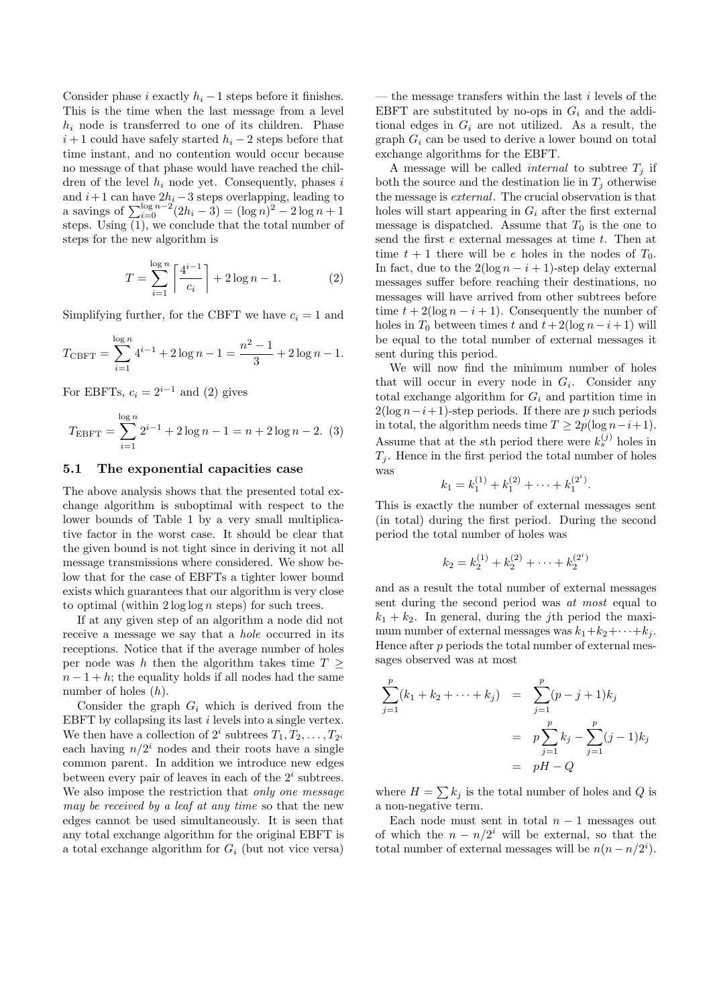Consider phase i exactly  $h_i - 1$  steps before it finishes. This is the time when the last message from a level  $h_i$  node is transferred to one of its children. Phase  $i+1$  could have safely started  $h_i - 2$  steps before that time instant, and no contention would occur because no message of that phase would have reached the children of the level  $h_i$  node yet. Consequently, phases i and  $i+1$  can have  $2h_i - 3$  steps overlapping, leading to a savings of  $\sum_{i=0}^{\log n-2} (2h_i - 3) = (\log n)^2 - 2 \log n + 1$ steps. Using (1), we conclude that the total number of steps for the new algorithm is

$$
T = \sum_{i=1}^{\log n} \left[ \frac{4^{i-1}}{c_i} \right] + 2 \log n - 1.
$$
 (2)

Simplifying further, for the CBFT we have  $c_i = 1$  and

$$
T_{\text{CBFT}} = \sum_{i=1}^{\log n} 4^{i-1} + 2\log n - 1 = \frac{n^2 - 1}{3} + 2\log n - 1.
$$

For EBFTs,  $c_i = 2^{i-1}$  and (2) gives

$$
T_{\text{EBFT}} = \sum_{i=1}^{\log n} 2^{i-1} + 2\log n - 1 = n + 2\log n - 2. \tag{3}
$$

#### 5.1 The exponential capacities case

The above analysis shows that the presented total exchange algorithm is suboptimal with respect to the lower bounds of Table 1 by a very small multiplicative factor in the worst case. It should be clear that the given bound is not tight since in deriving it not all message transmissions where considered. We show below that for the case of EBFTs a tighter lower bound exists which guarantees that our algorithm is very close to optimal (within  $2 \log \log n$  steps) for such trees.

If at any given step of an algorithm a node did not receive a message we say that a hole occurred in its receptions. Notice that if the average number of holes per node was h then the algorithm takes time  $T >$  $n-1+h$ ; the equality holds if all nodes had the same number of holes (h).

Consider the graph  $G_i$  which is derived from the EBFT by collapsing its last i levels into a single vertex. We then have a collection of  $2^i$  subtrees  $T_1, T_2, \ldots, T_{2^i}$ each having  $n/2^i$  nodes and their roots have a single common parent. In addition we introduce new edges between every pair of leaves in each of the  $2<sup>i</sup>$  subtrees. We also impose the restriction that *only one message* may be received by a leaf at any time so that the new edges cannot be used simultaneously. It is seen that any total exchange algorithm for the original EBFT is a total exchange algorithm for  $G_i$  (but not vice versa)

— the message transfers within the last  $i$  levels of the EBFT are substituted by no-ops in  $G_i$  and the additional edges in  $G_i$  are not utilized. As a result, the graph  $G_i$  can be used to derive a lower bound on total exchange algorithms for the EBFT.

A message will be called *internal* to subtree  $T_j$  if both the source and the destination lie in  $T_i$  otherwise the message is external. The crucial observation is that holes will start appearing in  $G_i$  after the first external message is dispatched. Assume that  $T_0$  is the one to send the first  $e$  external messages at time  $t$ . Then at time  $t + 1$  there will be e holes in the nodes of  $T_0$ . In fact, due to the  $2(\log n - i + 1)$ -step delay external messages suffer before reaching their destinations, no messages will have arrived from other subtrees before time  $t + 2(\log n - i + 1)$ . Consequently the number of holes in  $T_0$  between times t and  $t+2(\log n-i+1)$  will be equal to the total number of external messages it sent during this period.

We will now find the minimum number of holes that will occur in every node in  $G_i$ . Consider any total exchange algorithm for  $G_i$  and partition time in  $2(\log n - i + 1)$ -step periods. If there are p such periods in total, the algorithm needs time  $T \geq 2p(\log n - i + 1)$ . Assume that at the sth period there were  $k_s^{(j)}$  holes in  $T_i$ . Hence in the first period the total number of holes was

$$
k_1 = k_1^{(1)} + k_1^{(2)} + \cdots + k_1^{(2^i)}.
$$

This is exactly the number of external messages sent (in total) during the first period. During the second period the total number of holes was

$$
k_2 = k_2^{(1)} + k_2^{(2)} + \dots + k_2^{(2^i)}
$$

and as a result the total number of external messages sent during the second period was at most equal to  $k_1 + k_2$ . In general, during the j<sup>th</sup> period the maximum number of external messages was  $k_1+k_2+\cdots+k_j$ . Hence after  $p$  periods the total number of external messages observed was at most

$$
\sum_{j=1}^{p} (k_1 + k_2 + \dots + k_j) = \sum_{j=1}^{p} (p - j + 1)k_j
$$
  
=  $p \sum_{j=1}^{p} k_j - \sum_{j=1}^{p} (j - 1)k_j$   
=  $pH - Q$ 

where  $H = \sum k_j$  is the total number of holes and Q is a non-negative term.

Each node must sent in total  $n-1$  messages out of which the  $n - n/2^i$  will be external, so that the total number of external messages will be  $n(n - n/2<sup>i</sup>)$ .